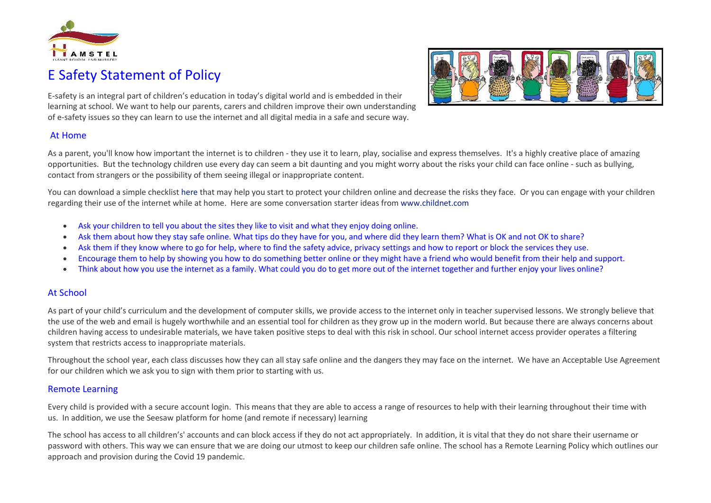

# E Safety Statement of Policy



E-safety is an integral part of children's education in today's digital world and is embedded in their learning at school. We want to help our parents, carers and children improve their own understanding of e-safety issues so they can learn to use the internet and all digital media in a safe and secure way.

#### At Home

As a parent, you'll know how important the internet is to children - they use it to learn, play, socialise and express themselves. It's a highly creative place of amazing opportunities. But the technology children use every day can seem a bit daunting and you might worry about the risks your child can face online - such as bullying, contact from strangers or the possibility of them seeing illegal or inappropriate content.

You can download a simple checklist [here](https://www.stjamesprimaryschool.co.uk/downloadfile/3750022) that may help you start to protect your children online and decrease the risks they face. Or you can engage with your children regarding their use of the internet while at home. Here are some conversation starter ideas from [www.childnet.com](http://www.childnet.com/)

- Ask your children to tell you about the sites they like to visit and what they enjoy doing online.
- Ask them about how they stay safe online. What tips do they have for you, and where did they learn them? What is OK and not OK to share?
- Ask them if they know where to go for help, where to find the safety advice, privacy settings and how to report or block the services they use.
- Encourage them to help by showing you how to do something better online or they might have a friend who would benefit from their help and support.
- Think about how you use the internet as a family. What could you do to get more out of the internet together and further enjoy your lives online?

### At School

As part of your child's curriculum and the development of computer skills, we provide access to the internet only in teacher supervised lessons. We strongly believe that the use of the web and email is hugely worthwhile and an essential tool for children as they grow up in the modern world. But because there are always concerns about children having access to undesirable materials, we have taken positive steps to deal with this risk in school. Our school internet access provider operates a filtering system that restricts access to inappropriate materials.

Throughout the school year, each class discusses how they can all stay safe online and the dangers they may face on the internet. We have an Acceptable Use Agreement for our children which we ask you to sign with them prior to starting with us.

#### Remote Learning

Every child is provided with a secure account login. This means that they are able to access a range of resources to help with their learning throughout their time with us. In addition, we use the Seesaw platform for home (and remote if necessary) learning

The school has access to all children's' accounts and can block access if they do not act appropriately. In addition, it is vital that they do not share their username or password with others. This way we can ensure that we are doing our utmost to keep our children safe online. The school has a Remote Learning Policy which outlines our approach and provision during the Covid 19 pandemic.